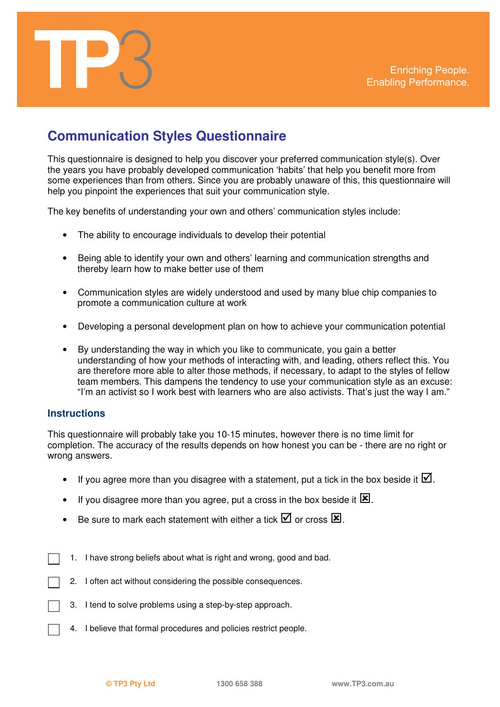# **Communication Styles Questionnaire**

This questionnaire is designed to help you discover your preferred communication style(s). Over the years you have probably developed communication 'habits' that help you benefit more from some experiences than from others. Since you are probably unaware of this, this questionnaire will help you pinpoint the experiences that suit your communication style.

The key benefits of understanding your own and others' communication styles include:

- The ability to encourage individuals to develop their potential
- Being able to identify your own and others' learning and communication strengths and thereby learn how to make better use of them
- Communication styles are widely understood and used by many blue chip companies to promote a communication culture at work
- Developing a personal development plan on how to achieve your communication potential
- By understanding the way in which you like to communicate, you gain a better understanding of how your methods of interacting with, and leading, others reflect this. You are therefore more able to alter those methods, if necessary, to adapt to the styles of fellow team members. This dampens the tendency to use your communication style as an excuse: "I'm an activist so I work best with learners who are also activists. That's just the way I am."

#### **Instructions**

This questionnaire will probably take you 10-15 minutes, however there is no time limit for completion. The accuracy of the results depends on how honest you can be - there are no right or wrong answers.

- If you agree more than you disagree with a statement, put a tick in the box beside it  $\boxtimes$ .
- If you disagree more than you agree, put a cross in the box beside it  $\boxtimes$ .
- Be sure to mark each statement with either a tick  $\Box$  or cross  $\boxtimes$ .
- 1. I have strong beliefs about what is right and wrong, good and bad.
- 2. I often act without considering the possible consequences.
- 3. I tend to solve problems using a step-by-step approach.
- 4. I believe that formal procedures and policies restrict people.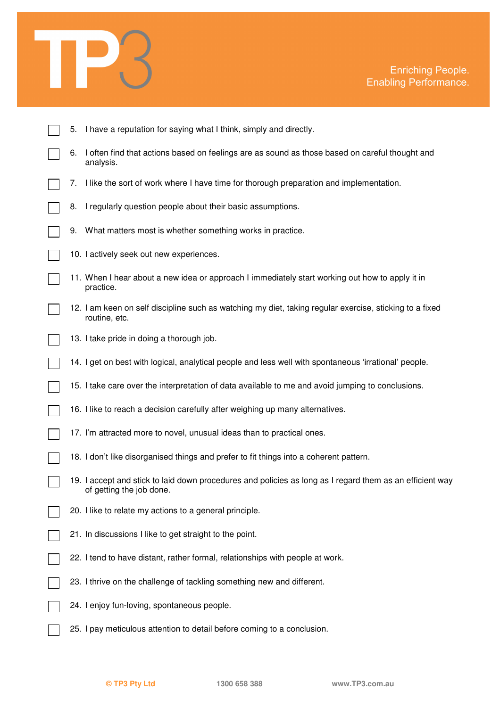### **Enriching People. Enabling Performance.**

5. I have a reputation for saying what I think, simply and directly. 6. I often find that actions based on feelings are as sound as those based on careful thought and analysis. 7. I like the sort of work where I have time for thorough preparation and implementation. 8. I regularly question people about their basic assumptions. 9. What matters most is whether something works in practice. 10. I actively seek out new experiences. 11. When I hear about a new idea or approach I immediately start working out how to apply it in practice. 12. I am keen on self discipline such as watching my diet, taking regular exercise, sticking to a fixed routine, etc. 13. I take pride in doing a thorough job. 14. I get on best with logical, analytical people and less well with spontaneous 'irrational' people. 15. I take care over the interpretation of data available to me and avoid jumping to conclusions. 16. I like to reach a decision carefully after weighing up many alternatives. 17. I'm attracted more to novel, unusual ideas than to practical ones. 18. I don't like disorganised things and prefer to fit things into a coherent pattern. 19. I accept and stick to laid down procedures and policies as long as I regard them as an efficient way of getting the job done. 20. I like to relate my actions to a general principle. 21. In discussions I like to get straight to the point. 22. I tend to have distant, rather formal, relationships with people at work. 23. I thrive on the challenge of tackling something new and different. 24. I enjoy fun-loving, spontaneous people. 25. I pay meticulous attention to detail before coming to a conclusion.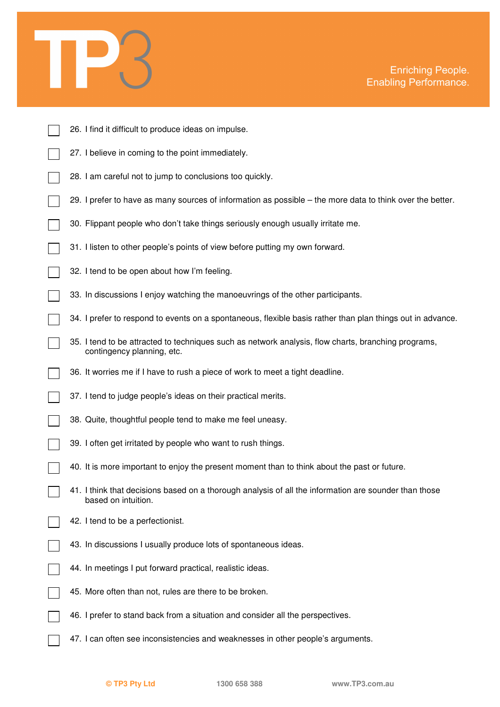- 26. I find it difficult to produce ideas on impulse.
- 27. I believe in coming to the point immediately.
- 28. I am careful not to jump to conclusions too quickly.
- 29. I prefer to have as many sources of information as possible the more data to think over the better.
- 30. Flippant people who don't take things seriously enough usually irritate me.
- 31. I listen to other people's points of view before putting my own forward.
- 32. I tend to be open about how I'm feeling.
- 33. In discussions I enjoy watching the manoeuvrings of the other participants.
- 34. I prefer to respond to events on a spontaneous, flexible basis rather than plan things out in advance.
- 35. I tend to be attracted to techniques such as network analysis, flow charts, branching programs, contingency planning, etc.
- 36. It worries me if I have to rush a piece of work to meet a tight deadline.
- 37. I tend to judge people's ideas on their practical merits.
- 38. Quite, thoughtful people tend to make me feel uneasy.
- 39. I often get irritated by people who want to rush things.
- 40. It is more important to enjoy the present moment than to think about the past or future.
- 41. I think that decisions based on a thorough analysis of all the information are sounder than those based on intuition.
- 42. I tend to be a perfectionist.
- 43. In discussions I usually produce lots of spontaneous ideas.
- 44. In meetings I put forward practical, realistic ideas.
- 45. More often than not, rules are there to be broken.
- 46. I prefer to stand back from a situation and consider all the perspectives.
- 47. I can often see inconsistencies and weaknesses in other people's arguments.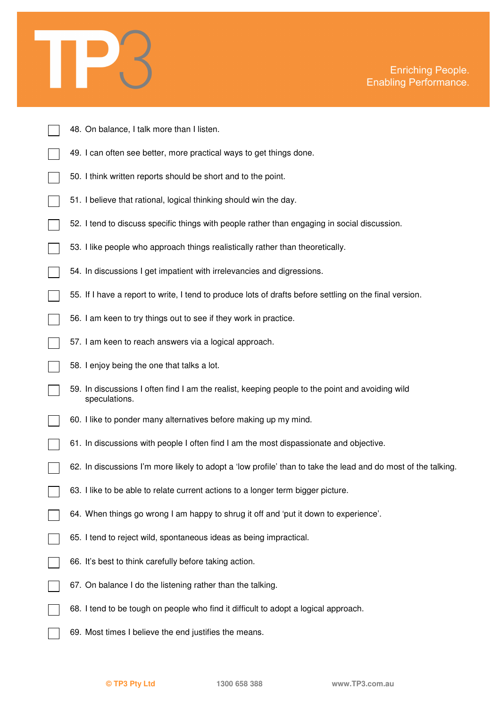#### **Enriching People. Enabling Performance.**

- 48. On balance, I talk more than I listen.
- 49. I can often see better, more practical ways to get things done.
- 50. I think written reports should be short and to the point.
- 51. I believe that rational, logical thinking should win the day.
- 52. I tend to discuss specific things with people rather than engaging in social discussion.
- 53. I like people who approach things realistically rather than theoretically.
- 54. In discussions I get impatient with irrelevancies and digressions.
- 55. If I have a report to write, I tend to produce lots of drafts before settling on the final version.
- 56. I am keen to try things out to see if they work in practice.
- 57. I am keen to reach answers via a logical approach.
- 58. I enjoy being the one that talks a lot.
- 59. In discussions I often find I am the realist, keeping people to the point and avoiding wild speculations.
- 60. I like to ponder many alternatives before making up my mind.
- 61. In discussions with people I often find I am the most dispassionate and objective.
- 62. In discussions I'm more likely to adopt a 'low profile' than to take the lead and do most of the talking.
- 63. I like to be able to relate current actions to a longer term bigger picture.
- 64. When things go wrong I am happy to shrug it off and 'put it down to experience'.
- 65. I tend to reject wild, spontaneous ideas as being impractical.
- 66. It's best to think carefully before taking action.
- 67. On balance I do the listening rather than the talking.
- 68. I tend to be tough on people who find it difficult to adopt a logical approach.
- 69. Most times I believe the end justifies the means.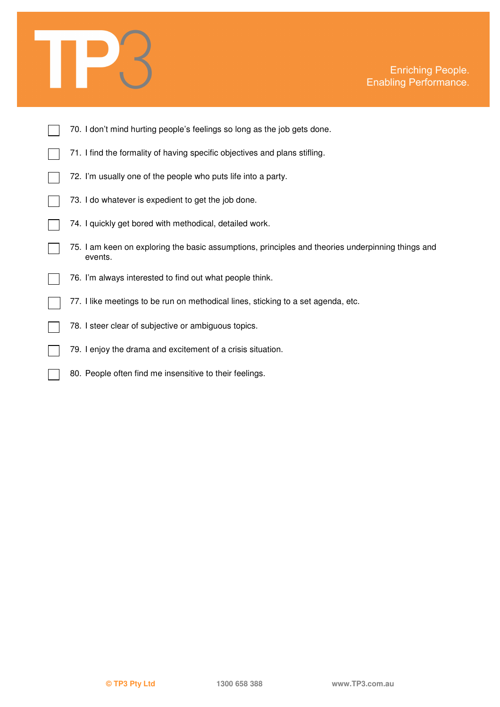- 70. I don't mind hurting people's feelings so long as the job gets done.
- 71. I find the formality of having specific objectives and plans stifling.
- 72. I'm usually one of the people who puts life into a party.
- 73. I do whatever is expedient to get the job done.
- 74. I quickly get bored with methodical, detailed work.
- 75. I am keen on exploring the basic assumptions, principles and theories underpinning things and events.
- 76. I'm always interested to find out what people think.
- 77. I like meetings to be run on methodical lines, sticking to a set agenda, etc.
- 78. I steer clear of subjective or ambiguous topics.
- 79. I enjoy the drama and excitement of a crisis situation.
- 80. People often find me insensitive to their feelings.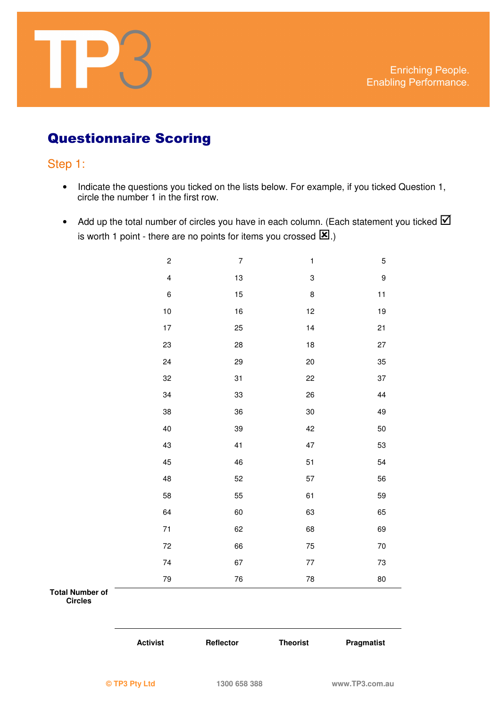

# Questionnaire Scoring

# Step 1:

- Indicate the questions you ticked on the lists below. For example, if you ticked Question 1, circle the number 1 in the first row.
- Add up the total number of circles you have in each column. (Each statement you ticked  $\boxtimes$ is worth 1 point - there are no points for items you crossed  $\overline{\mathbf{E}}$ .)

| $\boldsymbol{2}$        | $\boldsymbol{7}$ | $\mathbf{1}$ | 5      |
|-------------------------|------------------|--------------|--------|
| $\overline{\mathbf{4}}$ | $13\,$           | 3            | 9      |
| $\,6$                   | 15               | 8            | 11     |
| 10                      | 16               | 12           | 19     |
| 17                      | 25               | 14           | 21     |
| 23                      | 28               | 18           | 27     |
| 24                      | 29               | 20           | 35     |
| 32                      | 31               | 22           | 37     |
| 34                      | 33               | 26           | 44     |
| 38                      | 36               | 30           | 49     |
| 40                      | 39               | 42           | 50     |
| 43                      | 41               | 47           | 53     |
| 45                      | 46               | 51           | 54     |
| 48                      | 52               | 57           | 56     |
| 58                      | 55               | 61           | 59     |
| 64                      | 60               | 63           | 65     |
| 71                      | 62               | 68           | 69     |
| 72                      | 66               | 75           | 70     |
| 74                      | 67               | $77 \,$      | $73\,$ |
| 79                      | 76               | 78           | 80     |
|                         |                  |              |        |

**Total Number of Circles** 

| <b>Activist</b> | <b>Reflector</b> | <b>Theorist</b> | Pragmatist |
|-----------------|------------------|-----------------|------------|
|                 |                  |                 |            |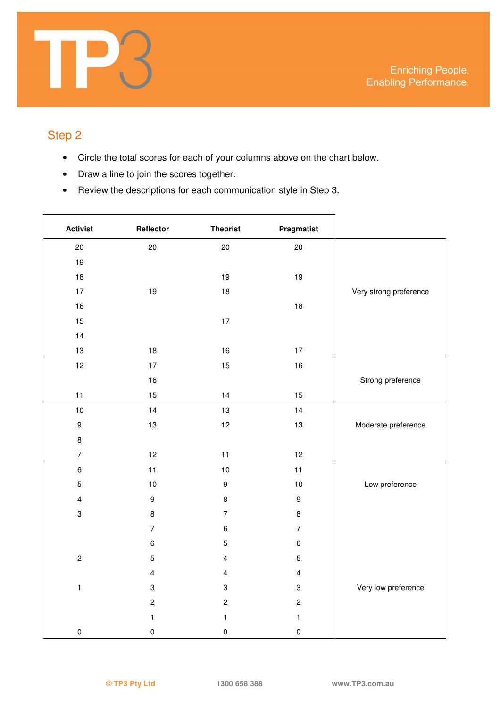# Step 2

P.

- Circle the total scores for each of your columns above on the chart below.
- Draw a line to join the scores together.
- Review the descriptions for each communication style in Step 3.

| <b>Activist</b>  | Reflector                 | <b>Theorist</b>           | Pragmatist                |                        |
|------------------|---------------------------|---------------------------|---------------------------|------------------------|
| $20\,$           | 20                        | 20                        | 20                        |                        |
| 19               |                           |                           |                           |                        |
| 18               |                           | 19                        | 19                        |                        |
| 17               | 19                        | 18                        |                           | Very strong preference |
| 16               |                           |                           | 18                        |                        |
| 15               |                           | $17\,$                    |                           |                        |
| 14               |                           |                           |                           |                        |
| 13               | 18                        | 16                        | 17                        |                        |
| 12               | 17                        | 15                        | 16                        |                        |
|                  | 16                        |                           |                           | Strong preference      |
| 11               | 15                        | 14                        | 15                        |                        |
| $10$             | 14                        | 13                        | 14                        |                        |
| $\boldsymbol{9}$ | 13                        | 12                        | 13                        | Moderate preference    |
| 8                |                           |                           |                           |                        |
| $\boldsymbol{7}$ | 12                        | 11                        | 12                        |                        |
| $\,6\,$          | 11                        | $10$                      | 11                        |                        |
| $\overline{5}$   | $10$                      | $\boldsymbol{9}$          | $10$                      | Low preference         |
| $\overline{4}$   | $\boldsymbol{9}$          | $\bf 8$                   | $\boldsymbol{9}$          |                        |
| $\mathsf 3$      | $\,8\,$                   | $\overline{7}$            | $\bf 8$                   |                        |
|                  | $\boldsymbol{7}$          | $\,6\,$                   | $\overline{7}$            |                        |
|                  | $\,6\,$                   | $\mathbf 5$               | $\,6\,$                   |                        |
| $\overline{c}$   | $\overline{5}$            | $\overline{4}$            | $\mathbf 5$               |                        |
|                  | $\overline{4}$            | $\overline{\mathbf{4}}$   | $\overline{4}$            |                        |
| $\mathbf{1}$     | $\ensuremath{\mathsf{3}}$ | $\ensuremath{\mathsf{3}}$ | $\ensuremath{\mathsf{3}}$ | Very low preference    |
|                  | $\boldsymbol{2}$          | $\overline{c}$            | $\boldsymbol{2}$          |                        |
|                  | $\mathbf{1}$              | $\mathbf{1}$              | $\mathbf{1}$              |                        |
| $\pmb{0}$        | $\pmb{0}$                 | $\pmb{0}$                 | $\pmb{0}$                 |                        |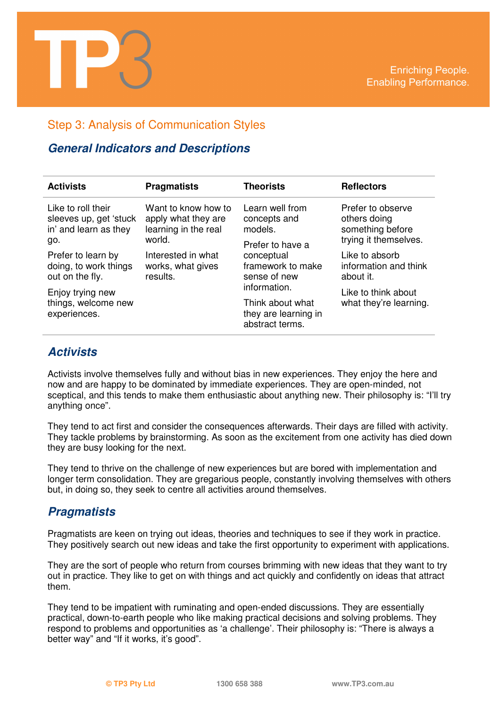

# Step 3: Analysis of Communication Styles

## **General Indicators and Descriptions**

| <b>Activists</b>                                                             | <b>Pragmatists</b>                                                           | <b>Theorists</b>                                                                                                               | <b>Reflectors</b>                                                              |  |
|------------------------------------------------------------------------------|------------------------------------------------------------------------------|--------------------------------------------------------------------------------------------------------------------------------|--------------------------------------------------------------------------------|--|
| Like to roll their<br>sleeves up, get 'stuck<br>in' and learn as they<br>go. | Want to know how to<br>apply what they are<br>learning in the real<br>world. | Learn well from<br>concepts and<br>models.<br>Prefer to have a                                                                 | Prefer to observe<br>others doing<br>something before<br>trying it themselves. |  |
| Prefer to learn by<br>doing, to work things<br>out on the fly.               | Interested in what<br>works, what gives<br>results.                          | conceptual<br>framework to make<br>sense of new<br>information.<br>Think about what<br>they are learning in<br>abstract terms. | Like to absorb<br>information and think<br>about it.                           |  |
| Enjoy trying new<br>things, welcome new<br>experiences.                      |                                                                              |                                                                                                                                | Like to think about<br>what they're learning.                                  |  |

## **Activists**

Activists involve themselves fully and without bias in new experiences. They enjoy the here and now and are happy to be dominated by immediate experiences. They are open-minded, not sceptical, and this tends to make them enthusiastic about anything new. Their philosophy is: "I'll try anything once".

They tend to act first and consider the consequences afterwards. Their days are filled with activity. They tackle problems by brainstorming. As soon as the excitement from one activity has died down they are busy looking for the next.

They tend to thrive on the challenge of new experiences but are bored with implementation and longer term consolidation. They are gregarious people, constantly involving themselves with others but, in doing so, they seek to centre all activities around themselves.

## **Pragmatists**

Pragmatists are keen on trying out ideas, theories and techniques to see if they work in practice. They positively search out new ideas and take the first opportunity to experiment with applications.

They are the sort of people who return from courses brimming with new ideas that they want to try out in practice. They like to get on with things and act quickly and confidently on ideas that attract them.

They tend to be impatient with ruminating and open-ended discussions. They are essentially practical, down-to-earth people who like making practical decisions and solving problems. They respond to problems and opportunities as 'a challenge'. Their philosophy is: "There is always a better way" and "If it works, it's good".